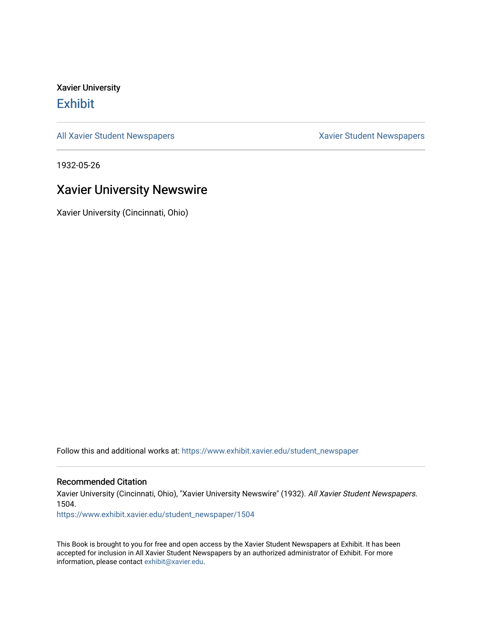Xavier University **Exhibit** 

[All Xavier Student Newspapers](https://www.exhibit.xavier.edu/student_newspaper) **Xavier Student Newspapers** Xavier Student Newspapers

1932-05-26

## Xavier University Newswire

Xavier University (Cincinnati, Ohio)

Follow this and additional works at: [https://www.exhibit.xavier.edu/student\\_newspaper](https://www.exhibit.xavier.edu/student_newspaper?utm_source=www.exhibit.xavier.edu%2Fstudent_newspaper%2F1504&utm_medium=PDF&utm_campaign=PDFCoverPages) 

### Recommended Citation

Xavier University (Cincinnati, Ohio), "Xavier University Newswire" (1932). All Xavier Student Newspapers. 1504.

[https://www.exhibit.xavier.edu/student\\_newspaper/1504](https://www.exhibit.xavier.edu/student_newspaper/1504?utm_source=www.exhibit.xavier.edu%2Fstudent_newspaper%2F1504&utm_medium=PDF&utm_campaign=PDFCoverPages) 

This Book is brought to you for free and open access by the Xavier Student Newspapers at Exhibit. It has been accepted for inclusion in All Xavier Student Newspapers by an authorized administrator of Exhibit. For more information, please contact [exhibit@xavier.edu](mailto:exhibit@xavier.edu).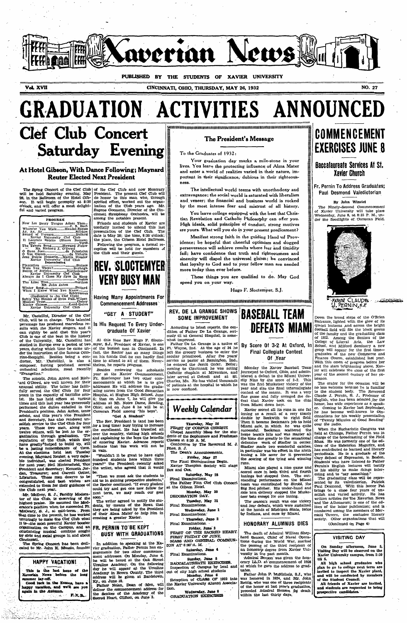

Vol. XVII

CINCINNATI, OHIO, THURSDAY, MAY 26, 1932

NO 27

**GRADUATION ACTIVITIES** 

# **Clef Club Concert Saturday Evening**

### At Hotel Gibson, With Dance Following; Maynard **Reuter Elected Next President**

The Spring Concert of the Clef Club<br>will be held Saturday evening, May<br>28, in the Ballroom of the Hotel Gib-<br>son. It will begin promptly at 8:30<br>o'clock, and will offer a most delight-<br>ful and varied program.

**PROGRAM** 11 Lacerato Spirito (Simon Boccane-<br>The Tavern Bong Communication and Tavern Boccane-<br>The Tavern Boccane-<br>
2 Development Back (Simon Boccane-<br>
2 Development Back Method and Tavern Boccane<br>
3 New Omnes, Method Back (Simon B 

Mr. Castellini, Director of the Clef Club, will be in charge. This talented<br>personage has produced marvelous re-<br>club, will be in charge. This talented<br>personage has produced marvelous re-<br>can rightly be said that this yea

contestral selections, most recently<br>ordestral selections, most recently<br>"Evangeline."<br>The soloists, John Anton and Rich-<br>rard O'Dowd, are well known for their<br>tunity served the Off Olito for four-<br>tunity served the Off Ol

the Club next year. sures generate of the Club next year. Security Moderator of the Club, is deserving of the highest praise. He assumed the Moderator's position when he succeeded Friddent Moderator's position when the clu

cannau.<br>'he Spring Concert has been dedl<br>ed to Mr. John K. Mussio, founde

### HAPPY VACATION!

This is the last issue of the Xaverian News before the long summer lay-off.<br>Good luck in the Exams, have a happy vacation, and we'll see you happy basis and we'll see you.<br>F.X.B.

in de la composición de la composición de la composición de la composición de la composición de la composición<br>Na composición de la composición de la composición de la composición de la composición de la composición de la

of the Clef Club and now Honorary<br>
of the Clef Club and now Honorary<br>
President. The present Clef Club will<br>
do honor to this man who, through<br>
spirited effort, worked out the organization<br>
Eugene Goossens, Director of the

Following the program, a formal reception will be held for members of<br>the Club and their guests.

# **REV. SLOCTEMYER VERY BUSY MAN**

**Having Many Appointments For Commencement Addresses** 

## "GET A STUDENT"

### Is His Request To Every Undergraduate Of Xavier

At this time Rev. Hugo F. Slocte-<br>myer, S.J., President of Xavier, is one<br>of the busiest men in Clincinnal. In<br>fact, the Rector has so many things<br>on his hands that he can hardly find time to attend to all of them. Never-<br>theless, he reports progress.

theless, he reports progress.<br>
Besides reviewing the scholastic<br>
year at the Xavier Commencement,<br>
year at the Xavier Commencement,<br>
Fr. Sloctemyer has two other commencements at which he is to give<br>
addresses. He will add

"teet A student"<br>The Rev. President is and has been<br>for a long time) busy trying to increase<br>the enrollment. He has travelled all<br>over the country, visiting high schools<br>and explaining to the boys the benefits<br>of entering vain

" "Wouldn't it be great to have eight<br>
"Wouldn't it be great to have eight<br>
nundred students here within three<br>
years?" the President recently asked<br>
the writer, who agreed that it would

be.<br>
We must ask the students to the interest of the students of the gaining prospective students,<br>
the Rector continued. "If every gludent could try and get one new fellow for<br>
next term, we may reach our goal

soon."<br>The writer agreed to notify the stu-<br>dents, by means of the News, that<br>they are being asked by the President<br>of their Alma Mater to help him in<br>creating a greater Xavier.

### FR. PERNIN TO BE KEPT **BUSY WITH GRADUATIONS**

In addition to speaking at the Xavier graduation to speaking at the Xavier graduation, Faither Pernin has enhanced at the one of the vill be heard at the Osk Street busuline Academy. On the following day te will appear at

The President's Message

### To the Graduates of 1932:

Your graduation day marks a mile-stone in your lives. You leave the protecting influence of Alma Mater and enter a world of realities varied in their nature, important in their significance, dubious in their righteous-

The intellectual world teems with unorthodoxy and extravagance; the social world is saturated with liberalism and veneer; the financial and business world is rocked the most intense fear and mistrust of all history. by

You leave college equipped with the best that Christian Revelation and Catholic Philosophy can offer you. High ideals, solid principles of conduct, strong motives are yours. What will you do in your present predicament?

Manifest strong faith in the guiding Hand of Providence; be hopeful that cheerful optimism and dogged<br>perseverance will achieve results where fear and timidity fail; have confidence that truth and righteousness and sincerity will dispel the universal gloom; be convinced that loyalty to God and to your fellow man are needed more today than ever before.

These things you are qualified to do. May God speed you on your way.

Hugo F. Sloctemver, S.J.

<del>ទីបរ</del>បាយប្រយោជអាយាយប្រយោជអាយាយរបស់យោជអាយាយប្រយោគអាយាយប្រយោជ

### **REV. DE LA GRANGE SHOWS** SOME IMPROVEMENT

According to latest reports, the condition of Father De La Grange, seriously dll at General Hospital, is some-

ously ill at General Hospital, is somewhat improved.<br>
Total at General Hospital, is somewhat improved.<br>
Takher De La Grange is a native of Ft. Wayne, Ind. At the age of 34 he<br>
left the grocery business to center the secula

## **Weekly Calendar**

Thursday, May 26<br>
Finished, May 26<br>
Chapel Assembly Mass for the<br>
contents of the Sophomore and Fresh<br>
Classes at 8:30 A. M.<br>
Contenence by The Reverend Annel Contenents.<br>
The Dean's Announcements. –<br>B. stu The Reverend M. J.

The Final Examinations and Party of The Final Examinations Begin<br>
Xavier Thespian Society will<br>
Box and Cox,

sox and Cox.<br>Saturday, May 28<br>Final Examinations.

The Father Finn Clef Club Cone<br>The Father Finn Clef Club Cone<br>at the Gibson Hotel.

The Choson How, May 30<br>DECORATION DAY, Tuesday, May 31<br>Final Examinations.

Wednesday, June 1 Final Examination

Thursday, June 2<br>xaminations.

Final Exar

Final EMIRAL PHOTO FRIEST OF THE SACRED HEART.<br>FIRST OF THE SACRED HEART.<br>MASS AND GENERAL COMMUNION AT 8:00 A.M.

Saturday, June 4<br>Final Examinations.

Final Examinations and <sup>2</sup><br>
Sunday, June 5<br>
BACOALAUREATE EXEROISES.<br>
Inspection of Campus by local and<br>
out of city high school students<br>
Monday, June 6<br>
Reception of CLIASS OF 1932 into<br>
the Xavier University Alumni Asso

on.<br>
Wednesday, June 8<br>
GRADUATION EXERCIBES

# **BASEBALL TEAM DEFEATS MIAMI**

### By Score Of 3-2 At Oxford, In **Final Collegiate Contest** Of Year

Monday the Xavier Baseball Team<br>journeyed to Oxford, Ohio, and administered a defeat to the Minmi University<br>with by the score of 3-2. This year and also the final intercollegiate<br>contest of the season. It was a very defin

From Miami down here.<br>
Yawier soored all its runs in one fat<br>
from Miami down here.<br>
Xawier soored all its runs in one fat<br>
double by Beckwith to right field.<br>
Then it became Beckman's job to hold<br>
Miami safe, in which the

runs.<br>
Miami also played a nice game and<br>
scored once in both third and fourth<br>
scored once in both third and fourth<br>
innings but stopped then. The out-<br>
standing performance on the Miami<br>
team was contributed by Strob), t

### HONORARY ALUMNUS DIES

The death of Admiral William Shepherd Benson, Chief of Naval Operations during the World War, marked<br>the passing of the third recipient of naval an honorary degree from Xavier University in the past month.<br>Admiral Benson w

orary LL,D. at commencement of 1928<br>at which he gave the address to graduates.

rates. Father John P. McNichols, S.J., who was incorded in 1924, and Mr. John Rettig, who was one of three reciplents of the honor at last year's graduation, proceded Admiral Benson fly death within the last thirty days.



ANNOUNCED

### **Baccalaureate Services At St. Xavier Church**

Fr. Pernin To Address Graduates; Paul Desmond Valedictorian

By John Winstel

The Ninety-Second Commencement<br>of Xavier University will take place<br>Wednesday, June 8, at 8:15 P. M., un-<br>der the floodlights of Corcoran Field.



Down the broad steps of the O'Brien<br>
Down the broad steps of the O'Brien<br>
Entrance, lighted with the glow of its<br>
quaint lanterns ,<br>and across the bright<br>
football field will file the black gowns<br>
of the faculty and the gr

The orator for the occasion The orator for the occasion will be<br>no less welcome because he is familiar<br>to the student body. The Reverend<br>Claude J. Pernin, S. J., Professor of<br>Emglish, who has been selected for the<br>horor, has wide experience as a spea

over use ratio. When the Euclidean State of the Fielding of the Euclidean State of the broadcasting of the Euclidean States. The state of the States of the States of the States of the States of the States of the States of

hours of an international members of Mer-<br>maild Tavern, the exclusive literary<br>society. Other organizations that will society. (Continued on Page 4)

### **VISITING DAY**

On Sunday afternoon, June 5,<br>Visiting Day will be observed on the Xavier University campus, from 2:30<br>till 5.

till 5.<br>
All high school graduates who<br>
plan to go to college next term are<br>
invited to inspect the Xavier plant,<br>
and will be conducted by members<br>
of the Student Council.

or the student Council.<br>All friends of Xavier are invited,<br>and students are requested to bring<br>prospective candidates.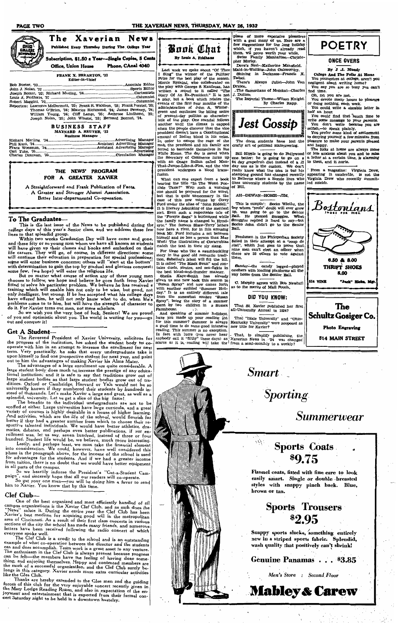**PAGE TWO** 

### THE XAVERIAN NEWS, THURSDAY, MAY 26, 1932



# **BUSINESS STAFF**<br>MAYNARD A. REUTER, '33<br>Business Manager

### THE NEWS' PROGRAM FOR A GREATER XAVIER

A Straightforward and Frank Publication of Facta A Greater and Stronger Alumni Association. Better Inter-departmental Co-operation.

To The Graduates—<br>
This is the last issue of the News to be published during the<br>
college days of this year's Senior class, and we address these few<br>
lines to that splendid group.<br>
Within two weeks Graduation Day will hav

### **Get A Student-**

out and conquer rundom and conquer rundom and conquer rundom and conquer and the propress of the institution, has asked the student body to concern the propress of the institution, has asked the student body to concern the

### Clef Club-

**Clef Club**—<br>
One of the best organized and most efficiently handled of all<br>
campus organizations is the Xavier Clef Club, and as such does the<br>
"News" salute it. During the entire year the Clef Club has been<br>
Xavier's bes

I hanks are hereby extended to the Giee men and the guiding<br>forces of this club for the very enjoyable concert recently given in<br>the Mary Lodge Reading Room, and also in expectation of the en-<br>joyment and entertainment tha



Last week we spoke about "Of Thee<br>I Sing" the winner of the Pulitzer<br>Prize for the best play of the season. Morrie Ryskind, who collaborated or Nature Expansite, who considerated on<br>the play with George S. Kaufman, has<br>written a sequel to it called "The<br>Diary Of An Ex-President." It is not Diary Of An Ex-President." It is not a play, but a book which relates the events of the first four months of the administration of John A, Wintergreen and continues the biting satire of present-day politics so characterize president doesn't have a Constitutional<br>amount of Indian blood in his veins.<br>In order to escape the rage of the<br>mob, the president and his family are<br>forced to barricade themselves in the<br>white House. The day is saved when resident undergoes a blood transtion.

presence and the title "In The Worst Passen" what can one expect from a book<br>bearing the title "In The Worst Post<br>one should be prepared for the worst,<br>but that is quite unnecessary in the<br>case of this new volume by Corey<br>

mater are external three terms such that the state of the good old romantic tradition, Sabatimi's latest will fill the bill. It is called "The Black Swan" and constant is tains duels, pirates, and sea-fights in the best bl

the best blood-and-thunder manner.<br>Shella Kaye-Smith has already<br>given us one new book this season in<br>"Susan Spray" and now comes forth<br>with another entitled "Summer Holl-<br>day." It is an entirely different tale<br>from the so A COME will come what sombre "Susan Spray", being the story of a summer by two children in a Sussex Farmhouse.

Farmhouse.<br>
And speaking of summer holidays, all-University Annual in 1924?<br>
And speaking of summer holidays, have you made up your reading list<br>
from this summer? Summer is always Kentucky University" were proposed as<br>
a

place of more expensive pleasures<br>with a geat many of us. Here are a<br>few suggesetions for the long holiday<br>which, if you haven't already read<br>them, wil prove worth your while,<br>Swiss Family Manhattan—Christo-<br>pher Morley.<br>D

ralbot.<br>- There's Always Juliet—John Van **Druten** 

 $The 8$ . Du The Imperial Theme—Wilson Knight.<br>By Charles Rapp.

Jest Gossip 800000000000000000000000 The dorm students have lost the<br>crafty art of political maneuvering.

Bill Hipple is going to do Hollywood<br>one better: he is going to go on a<br>64 day grapefruit diet instead of a 32<br>day one as is the custom. We don't<br>really know what the idea is but his<br>stamping ground has changed recently<br>to  $\frac{1}{2}$   $\frac{1}{2}$   $\frac{1}{2}$   $\frac{1}{2}$   $\frac{1}{2}$   $\frac{1}{2}$   $\frac{1}{2}$   $\frac{1}{2}$   $\frac{1}{2}$   $\frac{1}{2}$   $\frac{1}{2}$   $\frac{1}{2}$   $\frac{1}{2}$   $\frac{1}{2}$   $\frac{1}{2}$   $\frac{1}{2}$   $\frac{1}{2}$   $\frac{1}{2}$   $\frac{1}{2}$   $\frac{1}{2}$   $\frac{1}{2}$   $\frac{1}{2}$ 

### AH-DEWAN-HOME-ITM

This is sumpin': Socko Wiethe, the<br>ov whom "profs" doubt will ever grow This is sumpin': Socko Wiethe, the<br>boy whom "profs" doubt will ever grow<br>up, was going to go to the Senior<br>Ball. He phoned Snuggies. What<br>Snuggles replied is hard to say—but<br>Socko John didn't go to the Senior<br>Ball  $\overline{R}$ all

Freshmen in the Philopedian Society<br>failed in their attempt at a "coup de<br>etat", which just goes to prove that<br>nine men can't elect an officer when<br>there are 35 others to vote against<br>men men

Sander--the candy legged----<br>atchers with loading platforms way home from the Senior Ball.

C. Murphy agrees with Bob Newhall<br>s to the merits of Mail Pouch.

### DID YOU KNOW:

That St. Xavier published her first<br>all-University Annual in 1924?



## **ONCE OVERS**

By  $J$  .J. Mur

College And The Folks At Home<br>You youngsters at college, aren't you<br>egligent about writing home?<br>You say you are so busy you can't

on, no, you are not.<br>Tou devote many hours to pleasure<br>cloing nothing, each week.<br>You could write a sizeable letter in half an hour

You could find that 'much time to

You could find that 'much time to<br>write some message to your parents.<br>You don't write because you are<br>selfish,—to speak plainly.<br>You prefer some kind of amissement<br>to denying yourself a few minutes from<br>and hamp.

pleasure to make your parents pleased<br>and happy.<br>The folks at home are always more<br>or less anxious about you and to miss<br>a letter at a certain time, is alarming<br>to them, and it hurts.

From a magazine: Virginia Drew,<br>appearing in vaudeville, is not the<br>Virginia Drew who recently committed suicide.



**514 MAIN STREET** 

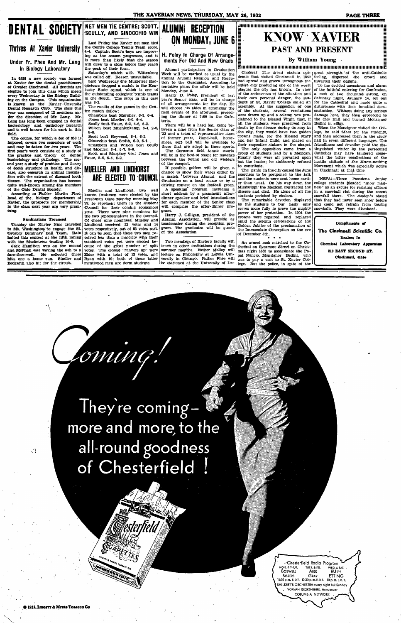# **DENTAL SOCIETY** NET MEN TIE CENTRE; SCOTT,

# Thrives At Xavier University

### Under Fr. Phee And Mr. Lang In Biology Laboratory

In 1929 a new society was formed<br>at Xavier for the dental practitioners<br>of Greater Christmani. All dentists are<br>elegible to join this class which meets<br>every Wednesday in the Biology Build-<br>ing on the Campus. This organiza field

and is well known for his work in this<br>field.<br>The course, for which a fee of \$50 is<br>imposed, covers two semesters of work<br>and may be taken for two years. The<br>first year's work consists of a study of<br>the practice and theory

ising.

### **Seminarians Trounced**

Seminarians Trounced<br>to Mt. Washington, to engage the St.<br>Tuesday the Eaveler Nie and Team. Rain<br>halted this contest at the fifth mining<br>with the Musketeers leading 10-0.<br>with the Musketeers leading 10-0.<br>and MoTPhail was

Let College Tennis Team and the Center College Tennis Team and the Center College Tennis Team, sometime that the state with a word will draw to a close before they and the weason propresses, and it will draw to a close bef

The results of the games in the Centre match follow:

re match rouow:<br>
Chambers beat Murphey, 6-3, 6-4.<br>
Jones beat Moeller, 6-0, 6-4.<br>
Scully beat Fausz, 6-2, 4-6, 6-2. Wilson beat Muchlenkamp, 6-4, 2-6

 $8-6$ 

8-6.<br>
Scott beat Heywood, 6-4, 6-2.<br>
Sincochio beat Smith, 6-0, 6-4.<br>
Chambers and Wilson beat Scully<br>
Chambers and Wilson beat Scully<br>
Scott and Morler, 6-4, 5-7, 8-6.<br>
Scott and Marphey beat Jones and<br>
Fausz, 2-6, 6-4,

## **MUELLER AND LINDHORST** ARE ELECTED TO COUNCIL

 $[$  Mueller and Lindhorst, two well<br>  $[$  known freshmen were elected by the<br>  $[$  known freshmen Class Monday morning, May<br>
Peshman Class Monday morning, May<br>
Council for their coming sophomore<br>
year. There were nine nonin Mueller and Lindhorst, two well

loming.

## **ALUMNI RECEPTION** ON MONDAY, JUNE 6

H. Foley In Charge Of Arrange-<br>ments For Old And New Grads

Alumni participation in Graduation

Alumni participation in Graduation and week will be marked as usual by the samual Alumni Reunion and Reception to the Graduates. According to tentative plans the affair will be held Monday, June 6.<br>Harry D. Foley, preside

ing the dinner at 7:00 in the Cafe-<br>teria.<br>There will be a hard ball game be-<br>teria.<br>There will be a hard ball game be-<br>sween a nine from the Senior class of<br>37 and a team of representative stars<br>of former years, Hand-bal gram

gram.<br>
Harry J. Gilligan, president of the<br>
Alumni Association, will preside as<br>
toastmaster during the reception pro-<br>
gram. The graduates will be guests<br>
of the Association.

Two members of Xavier's faculty will an armed mob marched to the Cateach in other institutions during the thedral on Sycamore Street on Christianumer months. Father Malloy will mas night 1853 to assassinate the Paal versit

# KNOW XAVIER **PAST AND PRESENT**

all the students were preserved from<br>death by the idsease during its stay in<br>the city, they would have two golden<br>crowns made, for the Blessed Mary<br>and her Tnfant Child, and placed on<br>ther the chip-<br>there is the chip-<br>The

of one leader; in stabiority related<br>to contribute.<br>The panic in the city caused the June<br>and the stabilist and the stabilist and the stabilist were sent home earli-<br>er than usual. On his way down the Mississippi, the Mexi

the Immacurate  $\sim$  ...<br>of December 8th.

JANNA MARINDA MARINDA MARINDA MARINDA MARINDA MARINDA MARINDA MARINDA A

By William Young

 $\bar{\mathbf{z}}$ anung ang kanang sampang ang manang ang manggapang manggapang  $\bar{\mathbf{z}}$ **HEREAN CONSECTED**<br>
Choleral The dread choical choich of the drawing density had spread in the end of the particular parameter of the particular particular particle plagues the city producing one of the worst of the serio

**PAGE THREE** 

Infinite in the and the anti-Catholic steps and the sample of the anti-Catholic feling, dispersed the crowd and thwarted their designs.<br>To the decided uneasiness and alarm To the decided uneasiness and alarm<br>of the failthf damage here, they then proceeded to<br>the City Hall and burned Monsignor

Bedini in effigy.<br>When the Monsignor visited the Col-Natural time Montagnon visitor the Con-<br>lege, he said Mass for the students,<br>and then addressed them in the study and then addressed them in the study hall in seven different languages. The friendliness and devotion paid the distinguished visitor by the persecuted Catholics may have tendered somewhat the bitter recollections of the Mo

(NSFA)—Three Passidena Junior<br>college students pleaded "snow mad-<br>ness" as an excuse for resisting officers<br>in a snowball riot during the recent<br>snowfall there. The students stated<br>that they had never seen snow before<br>and

Compliments of The Cincinnati Scientific Co. Dealers In Chemical Laboratory Apparatus 210 EAST SECOND ST. Cincinnati, Ohio

They're comingmore and more, to the all-round goodness of Chesterfield

> Chesterfield Radio Program MON. 8 THUR. THES. **AFRICATE SEAT.**<br>BOSWELL ALEX RUTH<br>SISTERS GRAY ETTING<br>10.30 p.m. E. D.T. 10.30 p.m. E. D.T. 10 p.m. E. D.T. **SHILKRET'S ORCHESTRA every night but Sunday** NORMAN BROKENSHIRE, Annal **COLUMBIA NETWORK**

@ 1932, LIGGETT & MYERS TORACCO CO